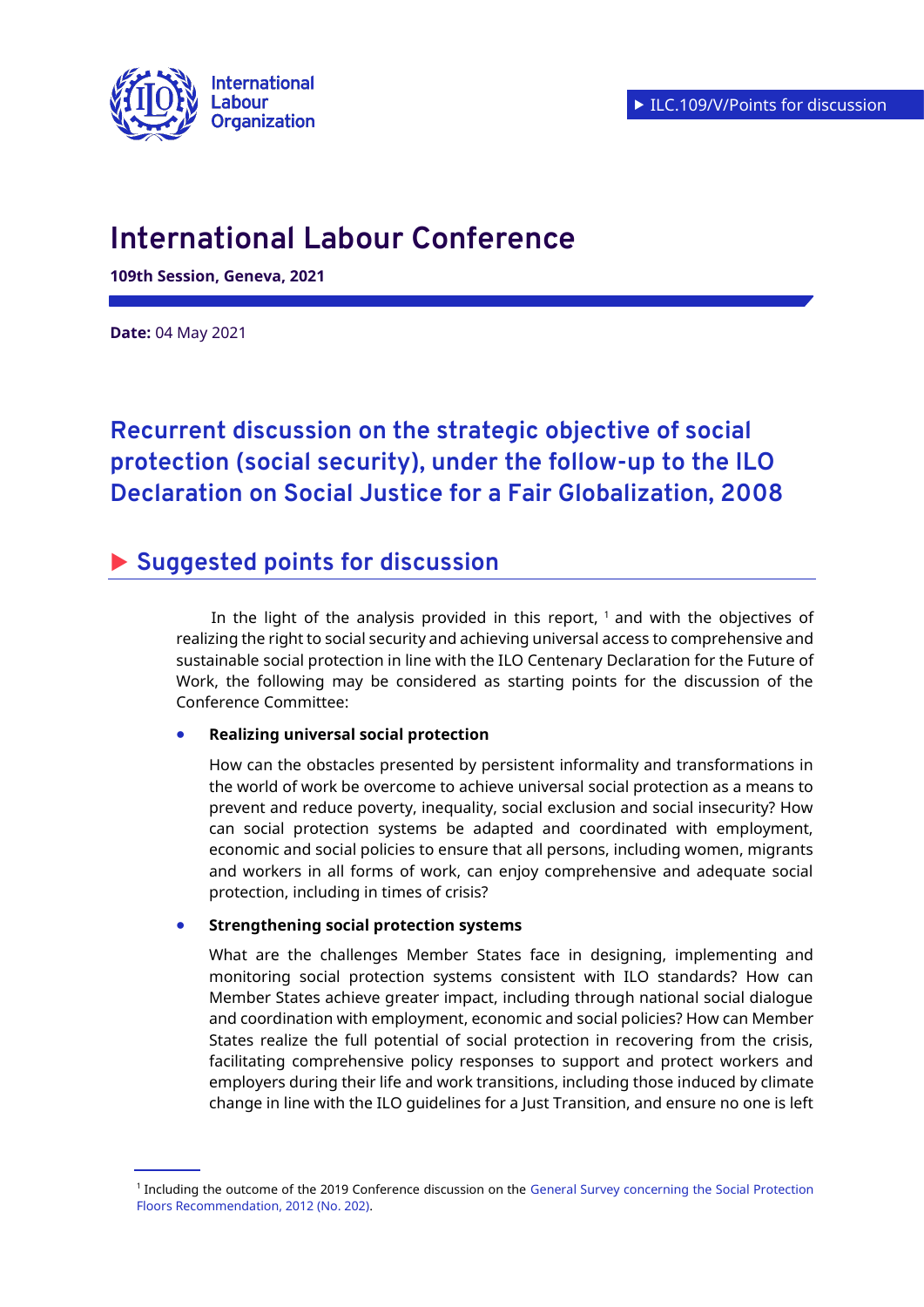

# **International Labour Conference**

**109th Session, Geneva, 2021**

**Date:** 04 May 2021

## **Recurrent discussion on the strategic objective of social protection (social security), under the follow-up to the ILO Declaration on Social Justice for a Fair Globalization, 2008**

## **Suggested points for discussion**

In the light of the analysis provided in this report, <sup>1</sup> and with the objectives of realizing the right to social security and achieving universal access to comprehensive and sustainable social protection in line with the ILO Centenary Declaration for the Future of Work, the following may be considered as starting points for the discussion of the Conference Committee:

#### **Realizing universal social protection**

How can the obstacles presented by persistent informality and transformations in the world of work be overcome to achieve universal social protection as a means to prevent and reduce poverty, inequality, social exclusion and social insecurity? How can social protection systems be adapted and coordinated with employment, economic and social policies to ensure that all persons, including women, migrants and workers in all forms of work, can enjoy comprehensive and adequate social protection, including in times of crisis?

#### **Strengthening social protection systems**

What are the challenges Member States face in designing, implementing and monitoring social protection systems consistent with ILO standards? How can Member States achieve greater impact, including through national social dialogue and coordination with employment, economic and social policies? How can Member States realize the full potential of social protection in recovering from the crisis, facilitating comprehensive policy responses to support and protect workers and employers during their life and work transitions, including those induced by climate change in line with the ILO guidelines for a Just Transition, and ensure no one is left

<sup>&</sup>lt;sup>1</sup> Including the outcome of the 2019 Conference discussion on the General Survey concerning the Social Protection [Floors Recommendation, 2012 \(No. 202\).](https://www.ilo.org/ilc/ILCSessions/108/reports/reports-to-the-conference/WCMS_673680/lang--en/index.htm)